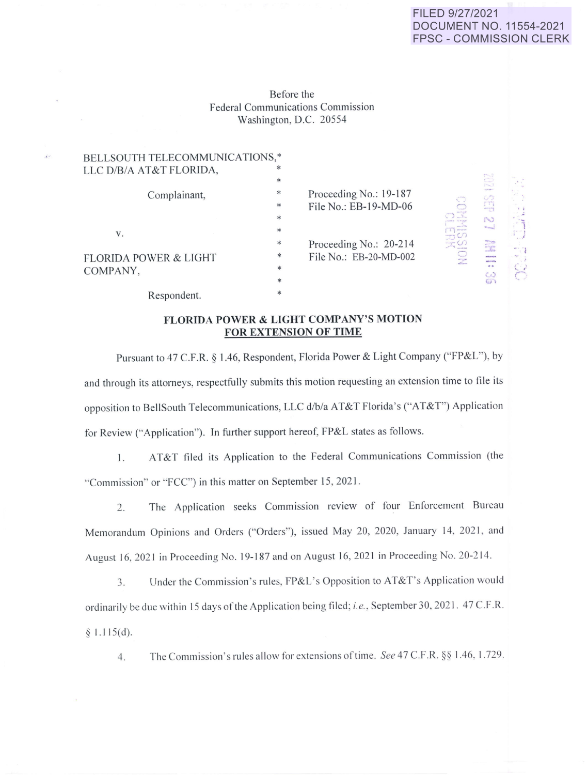## FILED 9/27/2021 DOCUMENT NO. 11554-2021 FPSC - COMMISSION CLERK

Before the Federal Communications Commission Washington, D.C. 20554

 $\mathcal{L}^{\mathcal{L}}$ 

| BELLSOUTH TELECOMMUNICATIONS,*<br>LLC D/B/A AT&T FLORIDA, | $\ast$<br>$\ast$ |                                                                                |                                                                        | B                                                                 |             |
|-----------------------------------------------------------|------------------|--------------------------------------------------------------------------------|------------------------------------------------------------------------|-------------------------------------------------------------------|-------------|
| Complainant,                                              | $\ast$<br>$\ast$ | Proceeding No.: 19-187<br>File No.: EB-19-MD-06                                | <b>Vince To Public</b><br>$10 - 10$<br>73 O<br>$-10$<br>$\mathbb{R}^n$ | S                                                                 |             |
| V.                                                        | $\ast$<br>$\ast$ | Proceeding No.: 20-214<br>$\ast$<br>File No.: EB-20-MD-002<br>$\ast$<br>$\ast$ |                                                                        | N<br><b>Manual</b>                                                | $-1$ 11 $-$ |
| <b>FLORIDA POWER &amp; LIGHT</b>                          |                  |                                                                                |                                                                        | E<br>anticiantina<br><b>Maltinia Village</b><br>$\sigma$ $\sigma$ | m. 3        |
| COMPANY,<br>Respondent.                                   | $\ast$           |                                                                                |                                                                        | S                                                                 |             |

## **FLORIDA POWER & LIGHT COMPANY'S MOTION FOR EXTENSION OF TIME**

Pursuant to 47 C.F.R. § 1.46, Respondent, Florida Power & Light Company ("FP&L"), by and through its attorneys, respectfully submits this motion requesting an extension time to file its opposition to BellSouth Telecommunications, LLC d/b/a AT&T Florida's ("AT&T" ) Application for Review ("Application"). In further support hereof, FP&L states as follows.

1. AT&T filed its Application to the Federal Communications Commission (the ··Commission" or ·'FCC") in this matter on September 15, 2021 .

2. The Application seeks Commission review of four Enforcement Bureau Memorandum Opinions and Orders ("Orders"), issued May 20, 2020, January 14, 2021, and August 16, 2021 in Proceeding No. 19-187 and on August 16, 2021 in Proceeding No. 20-214.

3. Under the Commission's rules, FP&L's Opposition to AT&T's Application would ordinarily be due within 15 days of the Application being filed; *i.e.*, September 30, 2021. 47 C.F.R.  $§ 1.115(d).$ 

4. The Commission's rules allow for extensions of time. See 47 C.F.R. §§ 1.46, 1.729.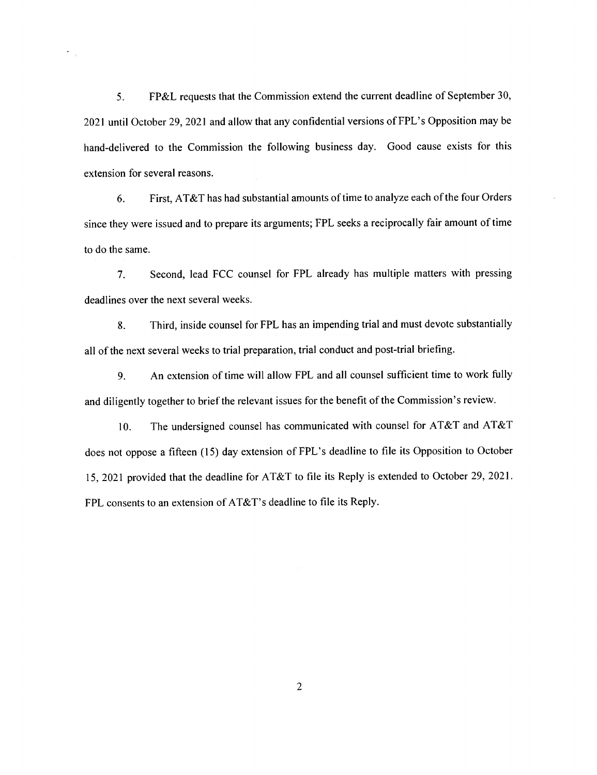5. FP&L requests that the Commission extend the current deadline of September 30, 2021 until October 29, 2021 and allow that any confidential versions of FPL's Opposition may be hand-delivered to the Commission the following business day. Good cause exists for this extension for several reasons.

 $\hat{\mathbf{r}}_i$ 

6. First, AT&T has had substantial amounts of time to analyze each of the four Orders since they were issued and to prepare its arguments; FPL seeks a reciprocally fair amount of time to do the same.

7. Second, lead FCC counsel for FPL already has multiple matters with pressing deadlines over the next several weeks.

8. Third, inside counsel for FPL has an impending trial and must devote substantially all of the next several weeks to trial preparation, trial conduct and post-trial briefing.

9. An extension of time will allow FPL and all counsel sufficient time to work fully and diligently together to brief the relevant issues for the benefit of the Commission's review.

10. The undersigned counsel has communicated with counsel for AT&T and AT&T does not oppose a fifteen (15) day extension of FPL 's deadline to file its Opposition to October 15, 2021 provided that the deadline for AT&T to file its Reply is extended to October 29, 2021. FPL consents to an extension of AT&T's deadline to file its Reply.

2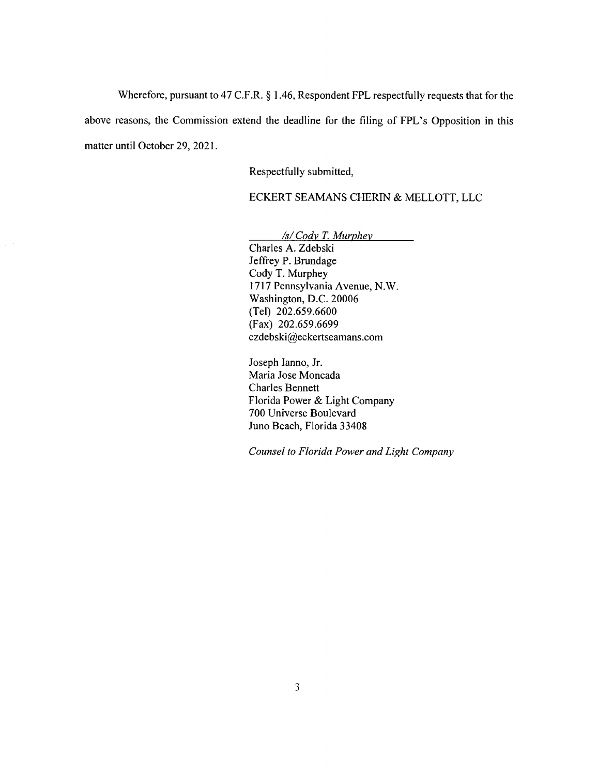Wherefore, pursuant to 47 C.F.R.  $\S$  1.46, Respondent FPL respectfully requests that for the above reasons, the Commission extend the deadline for the filing of FPL's Opposition in this matter until October 29, 2021.

Respectfully submitted,

ECKERT SEAMANS CHERIN & MELLOTT, LLC

*Isl Cody* T. *Murphey*  Charles A. Zdebski Jeffrey P. Brundage Cody T. Murphey 1717 Pennsylvania Avenue, N.W. Washington, D.C. 20006 (Tel) 202.659.6600 (Fax) 202.659.6699 czdebski@eckertseamans.com

Joseph Ianno, Jr. Maria Jose Moncada Charles Bennett Florida Power & Light Company 700 Universe Boulevard Juno Beach, Florida 33408

*Counsel to Florida Power and Light Company*